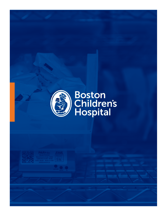

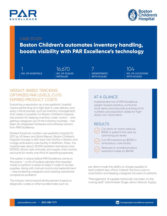



### CASE STUDY

**Boston Children's automates inventory handling, boosts visibility with PAR Excellence's technology** 

**NO. OF HOSPITALS NO. OF SCALES**  1 16,670 7 104

**INSTALLED**

**DEPARTMENTS WITH SCALES**

**NO. OF LOCATIONS WITH SCALES**

### WEIGHT-BASED TRACKING OPTIMIZES PAR LEVELS, CUTS EXPIRED PRODUCT COSTS

Sustaining a reputation as a top pediatric hospital means performing at a high level in care delivery and every critical process, such as inventory management, that makes it possible. For Boston Children's Hospital, the solution for keeping inventory under control – and getting caregivers out of the inventory business – has been an integrated hardware and software solution from PAR Excellence.

Ranked America's number-one pediatric hospital for 2017 by US News and World Report, Boston Children's Hospital includes a 400-bed main facility in Boston and a large ambulatory care facility in Waltham, Mass. The hospital sees about 25,000 inpatient admissions and 557,000 clinical visits annually, and supply chain activity accounts for nearly one third of operating expenses.

The system in place before PAR Excellence came on the scene – a mix of locked cabinets that required nurses to perform a series of steps in order to access supplies, along with manual counts and replenishment – was burdening caregivers and creating substantial compliance problems.

The industry trend toward reimbursement based on diagnostic codes or other bundled rates such as

# AT A GLANCE

Implemented mix of PAR Excellence weight-based inventory control for stock items and barcode scanning of lot numbers and expiration dates for highdollar, non-stock items

# **RESULTS**



\$120K in system's first year by optimizing par levels

Cut OR inventory by \$100K in ambulatory-care facility

Reduced or avoided product expiration losses by \$400K

per diems made the ability to charge supplies to each patient less critical. Instead, the focus was on automation and keeping caregivers focused on patients.

"Management of supplies historically has been on the nursing staff," said Andrew Singer, senior director, Supply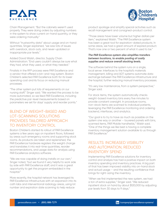# **EXCELLENC**



Chain Management. "But the cabinets weren't used properly. They were doing orders by adjusting numbers in the system to show current on-hand quantity, or they were ordering manually."

Without "trustworthy data" about usage and on-hand quantities, Singer explained, "we saw lots of issues with overstock, stock outs, and never-updated or inappropriate par levels."

Added David Walsh, director, Supply Chain Administration: "End users couldn't always be sure what they had, what they used, or what they needed."

Finalists in the RFP process were PAR Excellence and a vendor that offered a bin-and-tag system. Boston Children's selected PAR Excellence both for its lower operating cost and its focus on reducing manual processes.

"The other system put lots of requirements on our nursing staff," Singer said. "We wanted the process to be more automated, so we liked PAR Excellence, including the predictive par-level measurements based on parameters we set for days' supply and reorder points."

# BLEND OF WEIGHT-BASED AND LOT-SCANNING SOLUTIONS PROVIDES TAILORED APPROACH TO INVENTORY CONTROL

Boston Children's started its rollout of PAR Excellence systems a few years ago on inpatient floors, followed by areas such emergency rooms and supporting stock rooms. As products are taken and replenished, the PAR Excellence hardware registers the weight change and translates it into real-time quantities, reorder recommendations, and usage data for analysis using PAR Excellence analytics software.

"We are now capable of doing installs on our own," Singer noted, "but we found it very helpful to work side by side with PAR Excellence staff, and it was a great opportunity to get the program embedded in the hospital."

More recently, the hospital network has leveraged its PAR Excellence infrastructure with an expansion into its cath labs and interventional radiology areas, using lot number and expiration date scanning to help reduce

product spoilage and simplify special activities such as recall management and consigned-product control.

"Those areas have lower volume but higher dollars per item," explained Walsh. "The PAR Excellence system has been a great tool for expiration-dated products. In some areas, we had a great amount of expired product. That's now one or two percent of what it used to be."

#### *The PAR Excellence system also simplifies transfers between locations, to enable pooling of costly supplies and reduce overall stocking levels.*

The software behind the system runs on a single, local server. Interfaces to the hospital's materials management, billing and ADT systems automate data exchange between the PAR Excellence infrastructure and the hospital, further reducing manual inventory processes.

"It's very low maintenance, from a system perspective," Singer said.

For stock items, the system automatically checks weight-based inventory bins every five minutes to provide constant oversight. In procedure rooms, non-stock items are scanned to individual patients, leveraging the PAR Excellence monitoring and ordering backend, interfaces, and analytics.

"Our goal is to try to have as much as possible on the system one way or another – louvered panels with bins, scanned items, PAR Mobile handhelds," Walsh said. "One of the things we like best is having a complete inventory management solution available to us through PAR Excellence."

# RESULTS: INCREASED VISIBILITY AND AUTOMATION, REDUCED INVENTORY SPEND

Implementing PAR Excellence solutions for inventory control and analysis has had a positive impact on both inventory spending and inventory practices. A big part of that has been improved visibility into on-hand stock and actual usage – and the resulting confidence that brings for right-sizing the inventory.

"When we first implemented the new system, we had a ton of extra supplies," Singer said. "We reduced inpatient stock on hand by about \$120,000 by adjusting par levels from 30 days to 9 days."